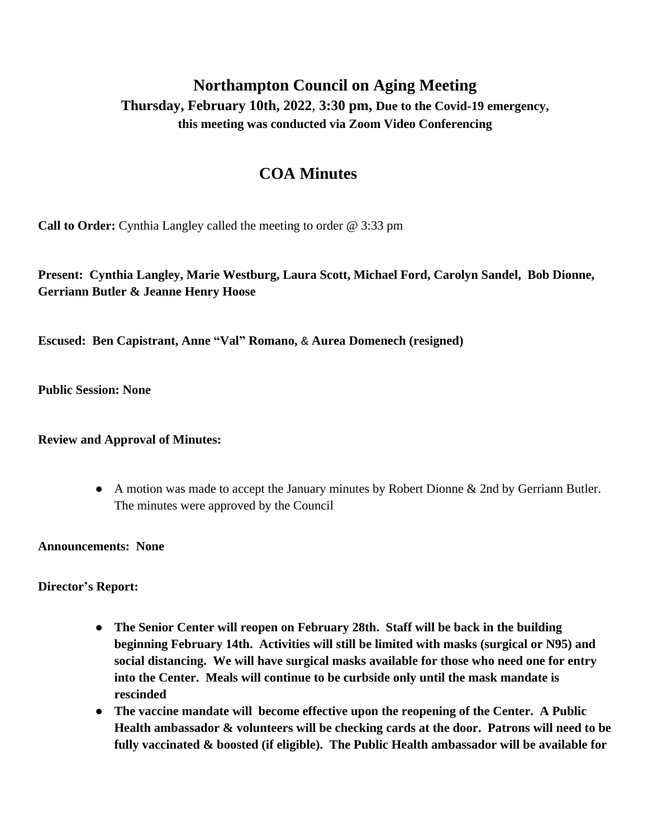## **Northampton Council on Aging Meeting Thursday, February 10th, 2022**, **3:30 pm, Due to the Covid-19 emergency, this meeting was conducted via Zoom Video Conferencing**

## **COA Minutes**

**Call to Order:** Cynthia Langley called the meeting to order @ 3:33 pm

**Present: Cynthia Langley, Marie Westburg, Laura Scott, Michael Ford, Carolyn Sandel, Bob Dionne, Gerriann Butler & Jeanne Henry Hoose**

**Escused: Ben Capistrant, Anne "Val" Romano,** & **Aurea Domenech (resigned)**

**Public Session: None**

**Review and Approval of Minutes:**

● A motion was made to accept the January minutes by Robert Dionne & 2nd by Gerriann Butler. The minutes were approved by the Council

**Announcements: None**

**Director's Report:**

- **● The Senior Center will reopen on February 28th. Staff will be back in the building beginning February 14th. Activities will still be limited with masks (surgical or N95) and social distancing. We will have surgical masks available for those who need one for entry into the Center. Meals will continue to be curbside only until the mask mandate is rescinded**
- **● The vaccine mandate will become effective upon the reopening of the Center. A Public Health ambassador & volunteers will be checking cards at the door. Patrons will need to be fully vaccinated & boosted (if eligible). The Public Health ambassador will be available for**